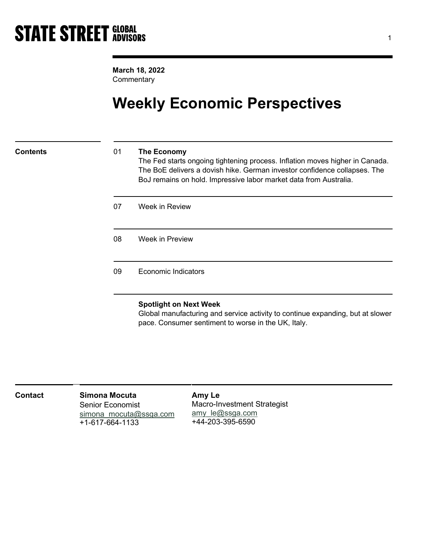March 18, 2022 **Commentary** 

## Weekly Economic Perspectives

### Contents 01 The Economy

The Fed starts ongoing tightening process. Inflation moves higher in Canada. The BoE delivers a dovish hike. German investor confidence collapses. The BoJ remains on hold. Impressive labor market data from Australia.

| 07 | Week in Review             |  |
|----|----------------------------|--|
| 08 | Week in Preview            |  |
| 09 | <b>Economic Indicators</b> |  |

### Spotlight on Next Week

Global manufacturing and service activity to continue expanding, but at slower pace. Consumer sentiment to worse in the UK, Italy.

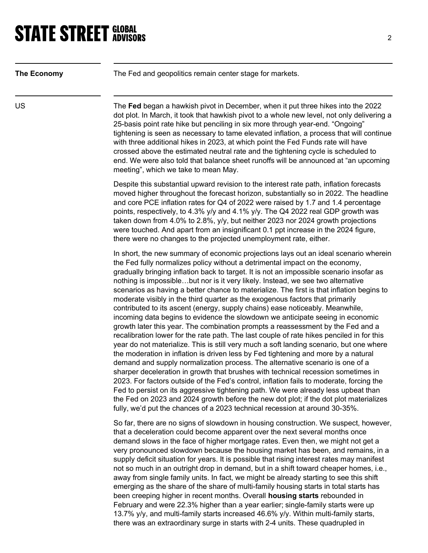## **STATE STREET GLOBAL STATE STREET GLOBAL**

| <b>The Economy</b> | The Fed and geopolitics remain center stage for markets.                                                                                                                                                                                                                                                                                                                                                                                                                                                                                                                                                                                                                                                                                                                                                                                                                                                                                                                                                                                                                                                                                                                                                                                                                                                                                                                                                                                                                                                                                                                                              |
|--------------------|-------------------------------------------------------------------------------------------------------------------------------------------------------------------------------------------------------------------------------------------------------------------------------------------------------------------------------------------------------------------------------------------------------------------------------------------------------------------------------------------------------------------------------------------------------------------------------------------------------------------------------------------------------------------------------------------------------------------------------------------------------------------------------------------------------------------------------------------------------------------------------------------------------------------------------------------------------------------------------------------------------------------------------------------------------------------------------------------------------------------------------------------------------------------------------------------------------------------------------------------------------------------------------------------------------------------------------------------------------------------------------------------------------------------------------------------------------------------------------------------------------------------------------------------------------------------------------------------------------|
| US                 | The Fed began a hawkish pivot in December, when it put three hikes into the 2022<br>dot plot. In March, it took that hawkish pivot to a whole new level, not only delivering a<br>25-basis point rate hike but penciling in six more through year-end. "Ongoing"<br>tightening is seen as necessary to tame elevated inflation, a process that will continue<br>with three additional hikes in 2023, at which point the Fed Funds rate will have<br>crossed above the estimated neutral rate and the tightening cycle is scheduled to<br>end. We were also told that balance sheet runoffs will be announced at "an upcoming<br>meeting", which we take to mean May.                                                                                                                                                                                                                                                                                                                                                                                                                                                                                                                                                                                                                                                                                                                                                                                                                                                                                                                                  |
|                    | Despite this substantial upward revision to the interest rate path, inflation forecasts<br>moved higher throughout the forecast horizon, substantially so in 2022. The headline<br>and core PCE inflation rates for Q4 of 2022 were raised by 1.7 and 1.4 percentage<br>points, respectively, to 4.3% y/y and 4.1% y/y. The Q4 2022 real GDP growth was<br>taken down from 4.0% to 2.8%, y/y, but neither 2023 nor 2024 growth projections<br>were touched. And apart from an insignificant 0.1 ppt increase in the 2024 figure,<br>there were no changes to the projected unemployment rate, either.                                                                                                                                                                                                                                                                                                                                                                                                                                                                                                                                                                                                                                                                                                                                                                                                                                                                                                                                                                                                 |
|                    | In short, the new summary of economic projections lays out an ideal scenario wherein<br>the Fed fully normalizes policy without a detrimental impact on the economy,<br>gradually bringing inflation back to target. It is not an impossible scenario insofar as<br>nothing is impossiblebut nor is it very likely. Instead, we see two alternative<br>scenarios as having a better chance to materialize. The first is that inflation begins to<br>moderate visibly in the third quarter as the exogenous factors that primarily<br>contributed to its ascent (energy, supply chains) ease noticeably. Meanwhile,<br>incoming data begins to evidence the slowdown we anticipate seeing in economic<br>growth later this year. The combination prompts a reassessment by the Fed and a<br>recalibration lower for the rate path. The last couple of rate hikes penciled in for this<br>year do not materialize. This is still very much a soft landing scenario, but one where<br>the moderation in inflation is driven less by Fed tightening and more by a natural<br>demand and supply normalization process. The alternative scenario is one of a<br>sharper deceleration in growth that brushes with technical recession sometimes in<br>2023. For factors outside of the Fed's control, inflation fails to moderate, forcing the<br>Fed to persist on its aggressive tightening path. We were already less upbeat than<br>the Fed on 2023 and 2024 growth before the new dot plot; if the dot plot materializes<br>fully, we'd put the chances of a 2023 technical recession at around 30-35%. |
|                    | So far, there are no signs of slowdown in housing construction. We suspect, however,<br>that a deceleration could become apparent over the next several months once<br>demand slows in the face of higher mortgage rates. Even then, we might not get a<br>very pronounced slowdown because the housing market has been, and remains, in a<br>supply deficit situation for years. It is possible that rising interest rates may manifest<br>not so much in an outright drop in demand, but in a shift toward cheaper homes, i.e.,<br>away from single family units. In fact, we might be already starting to see this shift<br>emerging as the share of the share of multi-family housing starts in total starts has<br>been creeping higher in recent months. Overall housing starts rebounded in<br>February and were 22.3% higher than a year earlier; single-family starts were up<br>13.7% y/y, and multi-family starts increased 46.6% y/y. Within multi-family starts,                                                                                                                                                                                                                                                                                                                                                                                                                                                                                                                                                                                                                         |

there was an extraordinary surge in starts with 2-4 units. These quadrupled in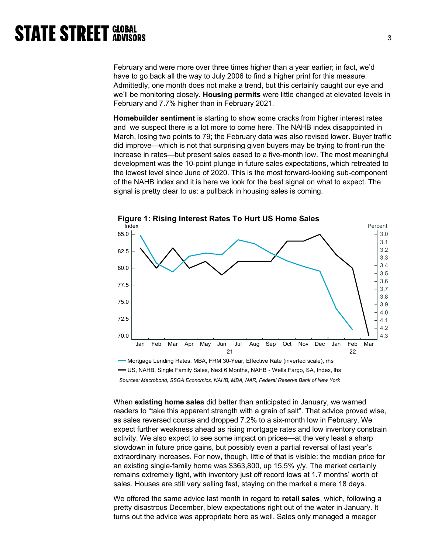February and were more over three times higher than a year earlier; in fact, we'd have to go back all the way to July 2006 to find a higher print for this measure. Admittedly, one month does not make a trend, but this certainly caught our eye and we'll be monitoring closely. Housing permits were little changed at elevated levels in February and 7.7% higher than in February 2021.

Homebuilder sentiment is starting to show some cracks from higher interest rates and we suspect there is a lot more to come here. The NAHB index disappointed in March, losing two points to 79; the February data was also revised lower. Buyer traffic did improve—which is not that surprising given buyers may be trying to front-run the increase in rates—but present sales eased to a five-month low. The most meaningful development was the 10-point plunge in future sales expectations, which retreated to the lowest level since June of 2020. This is the most forward-looking sub-component of the NAHB index and it is here we look for the best signal on what to expect. The signal is pretty clear to us: a pullback in housing sales is coming.



Sources: Macrobond, SSGA Economics, NAHB, MBA, NAR, Federal Reserve Bank of New York

When **existing home sales** did better than anticipated in January, we warned readers to "take this apparent strength with a grain of salt". That advice proved wise, as sales reversed course and dropped 7.2% to a six-month low in February. We expect further weakness ahead as rising mortgage rates and low inventory constrain activity. We also expect to see some impact on prices—at the very least a sharp slowdown in future price gains, but possibly even a partial reversal of last year's extraordinary increases. For now, though, little of that is visible: the median price for an existing single-family home was \$363,800, up 15.5% y/y. The market certainly remains extremely tight, with inventory just off record lows at 1.7 months' worth of sales. Houses are still very selling fast, staying on the market a mere 18 days.

We offered the same advice last month in regard to retail sales, which, following a pretty disastrous December, blew expectations right out of the water in January. It turns out the advice was appropriate here as well. Sales only managed a meager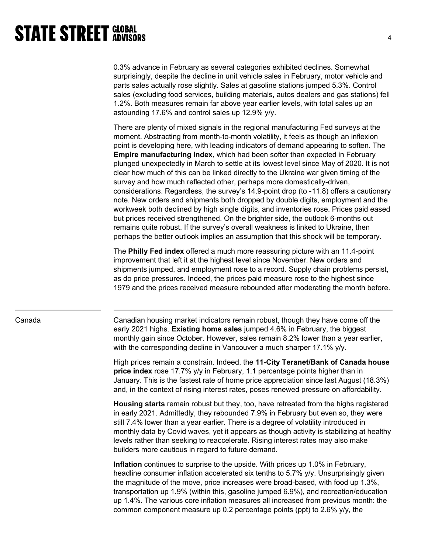0.3% advance in February as several categories exhibited declines. Somewhat surprisingly, despite the decline in unit vehicle sales in February, motor vehicle and parts sales actually rose slightly. Sales at gasoline stations jumped 5.3%. Control sales (excluding food services, building materials, autos dealers and gas stations) fell 1.2%. Both measures remain far above year earlier levels, with total sales up an astounding 17.6% and control sales up 12.9% y/y.

There are plenty of mixed signals in the regional manufacturing Fed surveys at the moment. Abstracting from month-to-month volatility, it feels as though an inflexion point is developing here, with leading indicators of demand appearing to soften. The Empire manufacturing index, which had been softer than expected in February plunged unexpectedly in March to settle at its lowest level since May of 2020. It is not clear how much of this can be linked directly to the Ukraine war given timing of the survey and how much reflected other, perhaps more domestically-driven, considerations. Regardless, the survey's 14.9-point drop (to -11.8) offers a cautionary note. New orders and shipments both dropped by double digits, employment and the workweek both declined by high single digits, and inventories rose. Prices paid eased but prices received strengthened. On the brighter side, the outlook 6-months out remains quite robust. If the survey's overall weakness is linked to Ukraine, then perhaps the better outlook implies an assumption that this shock will be temporary.

The Philly Fed index offered a much more reassuring picture with an 11.4-point improvement that left it at the highest level since November. New orders and shipments jumped, and employment rose to a record. Supply chain problems persist, as do price pressures. Indeed, the prices paid measure rose to the highest since 1979 and the prices received measure rebounded after moderating the month before.

Canada Canadian housing market indicators remain robust, though they have come off the early 2021 highs. **Existing home sales** jumped 4.6% in February, the biggest monthly gain since October. However, sales remain 8.2% lower than a year earlier, with the corresponding decline in Vancouver a much sharper 17.1% y/y.

> High prices remain a constrain. Indeed, the 11-City Teranet/Bank of Canada house price index rose 17.7% y/y in February, 1.1 percentage points higher than in January. This is the fastest rate of home price appreciation since last August (18.3%) and, in the context of rising interest rates, poses renewed pressure on affordability.

> Housing starts remain robust but they, too, have retreated from the highs registered in early 2021. Admittedly, they rebounded 7.9% in February but even so, they were still 7.4% lower than a year earlier. There is a degree of volatility introduced in monthly data by Covid waves, yet it appears as though activity is stabilizing at healthy levels rather than seeking to reaccelerate. Rising interest rates may also make builders more cautious in regard to future demand.

Inflation continues to surprise to the upside. With prices up 1.0% in February, headline consumer inflation accelerated six tenths to 5.7% y/y. Unsurprisingly given the magnitude of the move, price increases were broad-based, with food up 1.3%, transportation up 1.9% (within this, gasoline jumped 6.9%), and recreation/education up 1.4%. The various core inflation measures all increased from previous month: the common component measure up 0.2 percentage points (ppt) to 2.6% y/y, the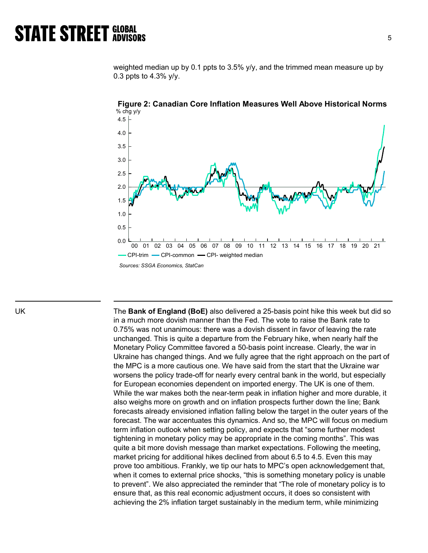weighted median up by 0.1 ppts to 3.5% y/y, and the trimmed mean measure up by 0.3 ppts to 4.3% y/y.



Figure 2: Canadian Core Inflation Measures Well Above Historical Norms % chg y/y

UK The Bank of England (BoE) also delivered a 25-basis point hike this week but did so in a much more dovish manner than the Fed. The vote to raise the Bank rate to 0.75% was not unanimous: there was a dovish dissent in favor of leaving the rate unchanged. This is quite a departure from the February hike, when nearly half the Monetary Policy Committee favored a 50-basis point increase. Clearly, the war in Ukraine has changed things. And we fully agree that the right approach on the part of the MPC is a more cautious one. We have said from the start that the Ukraine war worsens the policy trade-off for nearly every central bank in the world, but especially for European economies dependent on imported energy. The UK is one of them. While the war makes both the near-term peak in inflation higher and more durable, it also weighs more on growth and on inflation prospects further down the line; Bank forecasts already envisioned inflation falling below the target in the outer years of the forecast. The war accentuates this dynamics. And so, the MPC will focus on medium term inflation outlook when setting policy, and expects that "some further modest tightening in monetary policy may be appropriate in the coming months". This was quite a bit more dovish message than market expectations. Following the meeting, market pricing for additional hikes declined from about 6.5 to 4.5. Even this may prove too ambitious. Frankly, we tip our hats to MPC's open acknowledgement that, when it comes to external price shocks, "this is something monetary policy is unable to prevent". We also appreciated the reminder that "The role of monetary policy is to ensure that, as this real economic adjustment occurs, it does so consistent with achieving the 2% inflation target sustainably in the medium term, while minimizing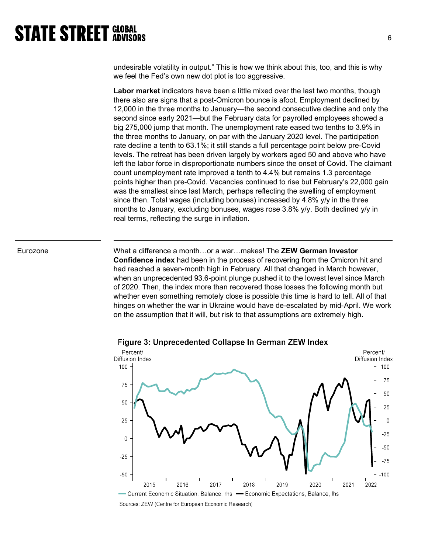undesirable volatility in output." This is how we think about this, too, and this is why we feel the Fed's own new dot plot is too aggressive.

Labor market indicators have been a little mixed over the last two months, though there also are signs that a post-Omicron bounce is afoot. Employment declined by 12,000 in the three months to January—the second consecutive decline and only the second since early 2021—but the February data for payrolled employees showed a big 275,000 jump that month. The unemployment rate eased two tenths to 3.9% in the three months to January, on par with the January 2020 level. The participation rate decline a tenth to 63.1%; it still stands a full percentage point below pre-Covid levels. The retreat has been driven largely by workers aged 50 and above who have left the labor force in disproportionate numbers since the onset of Covid. The claimant count unemployment rate improved a tenth to 4.4% but remains 1.3 percentage points higher than pre-Covid. Vacancies continued to rise but February's 22,000 gain was the smallest since last March, perhaps reflecting the swelling of employment since then. Total wages (including bonuses) increased by 4.8% y/y in the three months to January, excluding bonuses, wages rose 3.8% y/y. Both declined y/y in real terms, reflecting the surge in inflation.

Eurozone **What a difference a month...or a war...makes! The ZEW German Investor** Confidence index had been in the process of recovering from the Omicron hit and had reached a seven-month high in February. All that changed in March however, when an unprecedented 93.6-point plunge pushed it to the lowest level since March of 2020. Then, the index more than recovered those losses the following month but whether even something remotely close is possible this time is hard to tell. All of that hinges on whether the war in Ukraine would have de-escalated by mid-April. We work on the assumption that it will, but risk to that assumptions are extremely high.



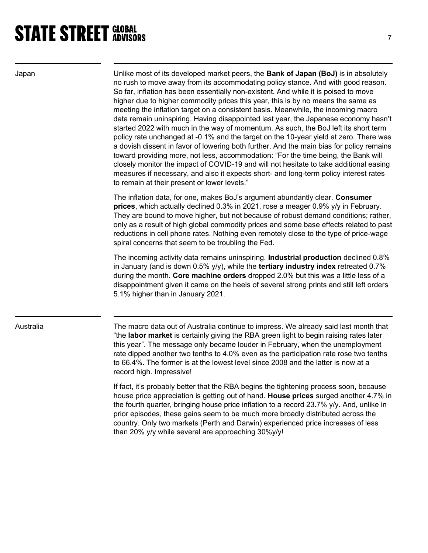Japan Unlike most of its developed market peers, the **Bank of Japan (BoJ)** is in absolutely no rush to move away from its accommodating policy stance. And with good reason. So far, inflation has been essentially non-existent. And while it is poised to move higher due to higher commodity prices this year, this is by no means the same as meeting the inflation target on a consistent basis. Meanwhile, the incoming macro data remain uninspiring. Having disappointed last year, the Japanese economy hasn't started 2022 with much in the way of momentum. As such, the BoJ left its short term policy rate unchanged at -0.1% and the target on the 10-year yield at zero. There was a dovish dissent in favor of lowering both further. And the main bias for policy remains toward providing more, not less, accommodation: "For the time being, the Bank will closely monitor the impact of COVID-19 and will not hesitate to take additional easing measures if necessary, and also it expects short- and long-term policy interest rates to remain at their present or lower levels."

> The inflation data, for one, makes BoJ's argument abundantly clear. Consumer prices, which actually declined 0.3% in 2021, rose a meager 0.9% y/y in February. They are bound to move higher, but not because of robust demand conditions; rather, only as a result of high global commodity prices and some base effects related to past reductions in cell phone rates. Nothing even remotely close to the type of price-wage spiral concerns that seem to be troubling the Fed.

The incoming activity data remains uninspiring. Industrial production declined 0.8% in January (and is down  $0.5\%$  y/y), while the **tertiary industry index** retreated  $0.7\%$ during the month. Core machine orders dropped 2.0% but this was a little less of a disappointment given it came on the heels of several strong prints and still left orders 5.1% higher than in January 2021.

Australia The macro data out of Australia continue to impress. We already said last month that "the labor market is certainly giving the RBA green light to begin raising rates later this year". The message only became louder in February, when the unemployment rate dipped another two tenths to 4.0% even as the participation rate rose two tenths to 66.4%. The former is at the lowest level since 2008 and the latter is now at a record high. Impressive!

> If fact, it's probably better that the RBA begins the tightening process soon, because house price appreciation is getting out of hand. House prices surged another 4.7% in the fourth quarter, bringing house price inflation to a record 23.7% y/y. And, unlike in prior episodes, these gains seem to be much more broadly distributed across the country. Only two markets (Perth and Darwin) experienced price increases of less than 20% y/y while several are approaching 30%y/y!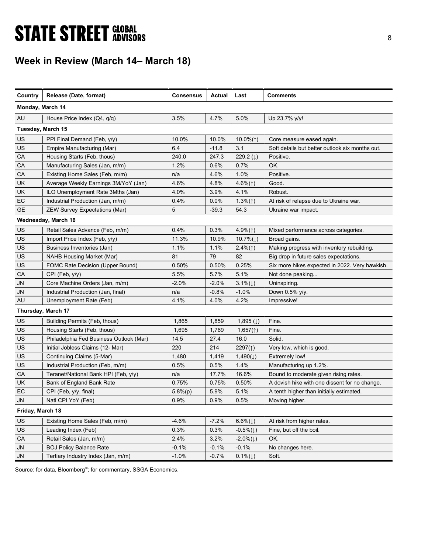# **STATE STREET GLOBAL STATE STREET GLOBAL**

## Week in Review (March 14– March 18)

| Country           | Release (Date, format)                  | <b>Consensus</b> | Actual  | Last                   | <b>Comments</b>                                 |
|-------------------|-----------------------------------------|------------------|---------|------------------------|-------------------------------------------------|
| Monday, March 14  |                                         |                  |         |                        |                                                 |
| AU                | House Price Index (Q4, q/q)             | 3.5%             | 4.7%    | 5.0%                   | Up 23.7% y/y!                                   |
| Tuesday, March 15 |                                         |                  |         |                        |                                                 |
| US                | PPI Final Demand (Feb, y/y)             | 10.0%            | 10.0%   | 10.0% $($ $\uparrow$ ) | Core measure eased again.                       |
| US                | Empire Manufacturing (Mar)              | 6.4              | $-11.8$ | 3.1                    | Soft details but better outlook six months out. |
| CA                | Housing Starts (Feb, thous)             | 240.0            | 247.3   | 229.2 $(1)$            | Positive.                                       |
| CA                | Manufacturing Sales (Jan, m/m)          | 1.2%             | 0.6%    | 0.7%                   | OK.                                             |
| CA                | Existing Home Sales (Feb, m/m)          | n/a              | 4.6%    | 1.0%                   | Positive.                                       |
| UK                | Average Weekly Earnings 3M/YoY (Jan)    | 4.6%             | 4.8%    | 4.6% $($ $\uparrow$ )  | Good.                                           |
| UK                | ILO Unemployment Rate 3Mths (Jan)       | 4.0%             | 3.9%    | 4.1%                   | Robust.                                         |
| EC                | Industrial Production (Jan, m/m)        | 0.4%             | $0.0\%$ | $1.3\%(\uparrow)$      | At risk of relapse due to Ukraine war.          |
| <b>GE</b>         | <b>ZEW Survey Expectations (Mar)</b>    | 5                | $-39.3$ | 54.3                   | Ukraine war impact.                             |
|                   | Wednesday, March 16                     |                  |         |                        |                                                 |
| <b>US</b>         | Retail Sales Advance (Feb, m/m)         | 0.4%             | 0.3%    | 4.9% $($ 1)            | Mixed performance across categories.            |
| US                | Import Price Index (Feb, y/y)           | 11.3%            | 10.9%   | $10.7\%(\downarrow)$   | Broad gains.                                    |
| US                | Business Inventories (Jan)              | 1.1%             | 1.1%    | $2.4\%(\uparrow)$      | Making progress with inventory rebuilding.      |
| US                | <b>NAHB Housing Market (Mar)</b>        | 81               | 79      | 82                     | Big drop in future sales expectations.          |
| US                | FOMC Rate Decision (Upper Bound)        | 0.50%            | 0.50%   | 0.25%                  | Six more hikes expected in 2022. Very hawkish.  |
| CA                | $CPI$ (Feb, $y/y$ )                     | 5.5%             | 5.7%    | 5.1%                   | Not done peaking                                |
| JN                | Core Machine Orders (Jan, m/m)          | $-2.0%$          | $-2.0%$ | $3.1\%(\downarrow)$    | Uninspiring.                                    |
| <b>JN</b>         | Industrial Production (Jan, final)      | n/a              | $-0.8%$ | $-1.0%$                | Down 0.5% y/y.                                  |
| AU                | Unemployment Rate (Feb)                 | 4.1%             | 4.0%    | 4.2%                   | Impressive!                                     |
|                   | Thursday, March 17                      |                  |         |                        |                                                 |
| US                | Building Permits (Feb, thous)           | 1,865            | 1,859   | 1,895 $(1)$            | Fine.                                           |
| US                | Housing Starts (Feb, thous)             | 1,695            | 1,769   | 1,657(1)               | Fine.                                           |
| US                | Philadelphia Fed Business Outlook (Mar) | 14.5             | 27.4    | 16.0                   | Solid.                                          |
| US                | Initial Jobless Claims (12- Mar)        | 220              | 214     | $2297($ 1)             | Very low, which is good.                        |
| US                | Continuing Claims (5-Mar)               | 1,480            | 1,419   | $1,490(\downarrow)$    | <b>Extremely low!</b>                           |
| US                | Industrial Production (Feb, m/m)        | 0.5%             | 0.5%    | 1.4%                   | Manufacturing up 1.2%.                          |
| CA                | Teranet/National Bank HPI (Feb, y/y)    | n/a              | 17.7%   | 16.6%                  | Bound to moderate given rising rates.           |
| UK                | Bank of England Bank Rate               | 0.75%            | 0.75%   | 0.50%                  | A dovish hike with one dissent for no change.   |
| EC                | CPI (Feb, y/y, final)                   | 5.8%(p)          | 5.9%    | 5.1%                   | A tenth higher than initially estimated.        |
| ${\sf J}{\sf N}$  | Natl CPI YoY (Feb)                      | 0.9%             | 0.9%    | 0.5%                   | Moving higher.                                  |
| Friday, March 18  |                                         |                  |         |                        |                                                 |
| <b>US</b>         | Existing Home Sales (Feb, m/m)          | $-4.6%$          | $-7.2%$ | $6.6\%(\downarrow)$    | At risk from higher rates.                      |
| <b>US</b>         | Leading Index (Feb)                     | 0.3%             | 0.3%    | $-0.5\%(\downarrow)$   | Fine, but off the boil.                         |
| CA                | Retail Sales (Jan, m/m)                 | 2.4%             | 3.2%    | $-2.0\%(\downarrow)$   | OK.                                             |
| <b>JN</b>         | <b>BOJ Policy Balance Rate</b>          | $-0.1%$          | $-0.1%$ | $-0.1%$                | No changes here.                                |
| <b>JN</b>         | Tertiary Industry Index (Jan, m/m)      | $-1.0%$          | $-0.7%$ | $0.1\%(\downarrow)$    | Soft.                                           |
|                   |                                         |                  |         |                        |                                                 |

Source: for data, Bloomberg<sup>®</sup>; for commentary, SSGA Economics.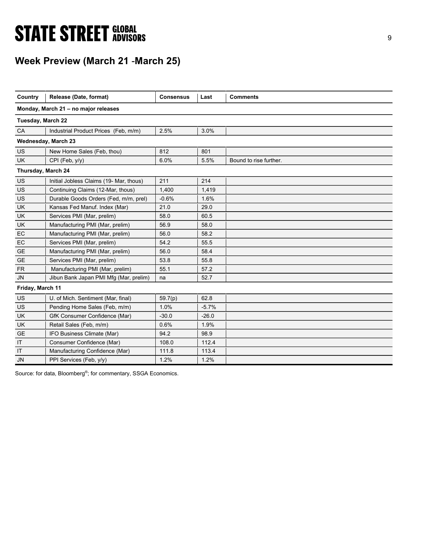# **STATE STREET GLOBAL STATE STREET GLOBAL**

## Week Preview (March 21 -March 25)

| Country            | Release (Date, format)                  | <b>Consensus</b> | Last    | <b>Comments</b>        |
|--------------------|-----------------------------------------|------------------|---------|------------------------|
|                    | Monday, March 21 - no major releases    |                  |         |                        |
| Tuesday, March 22  |                                         |                  |         |                        |
| CA                 | Industrial Product Prices (Feb, m/m)    | 2.5%             | 3.0%    |                        |
|                    | Wednesday, March 23                     |                  |         |                        |
| US                 | New Home Sales (Feb, thou)              | 812              | 801     |                        |
| <b>UK</b>          | CPI (Feb, y/y)                          | 6.0%             | 5.5%    | Bound to rise further. |
| Thursday, March 24 |                                         |                  |         |                        |
| US                 | Initial Jobless Claims (19- Mar, thous) | 211              | 214     |                        |
| US                 | Continuing Claims (12-Mar, thous)       | 1.400            | 1.419   |                        |
| US                 | Durable Goods Orders (Fed, m/m, prel)   | $-0.6%$          | 1.6%    |                        |
| <b>UK</b>          | Kansas Fed Manuf. Index (Mar)           | 21.0             | 29.0    |                        |
| UK                 | Services PMI (Mar, prelim)              | 58.0             | 60.5    |                        |
| <b>UK</b>          | Manufacturing PMI (Mar, prelim)         | 56.9             | 58.0    |                        |
| EC                 | Manufacturing PMI (Mar, prelim)         | 56.0             | 58.2    |                        |
| EC                 | Services PMI (Mar, prelim)              | 54.2             | 55.5    |                        |
| <b>GE</b>          | Manufacturing PMI (Mar, prelim)         | 56.0             | 58.4    |                        |
| <b>GE</b>          | Services PMI (Mar, prelim)              | 53.8             | 55.8    |                        |
| <b>FR</b>          | Manufacturing PMI (Mar, prelim)         | 55.1             | 57.2    |                        |
| <b>JN</b>          | Jibun Bank Japan PMI Mfg (Mar, prelim)  | na               | 52.7    |                        |
| Friday, March 11   |                                         |                  |         |                        |
| US                 | U. of Mich. Sentiment (Mar, final)      | 59.7(p)          | 62.8    |                        |
| US                 | Pending Home Sales (Feb, m/m)           | 1.0%             | $-5.7%$ |                        |
| <b>UK</b>          | GfK Consumer Confidence (Mar)           | $-30.0$          | $-26.0$ |                        |
| <b>UK</b>          | Retail Sales (Feb, m/m)                 | 0.6%             | 1.9%    |                        |
| <b>GE</b>          | IFO Business Climate (Mar)              | 94.2             | 98.9    |                        |
| IT                 | Consumer Confidence (Mar)               | 108.0            | 112.4   |                        |
| IT                 | Manufacturing Confidence (Mar)          | 111.8            | 113.4   |                        |
| <b>JN</b>          | PPI Services (Feb, y/y)                 | 1.2%             | 1.2%    |                        |

Source: for data, Bloomberg<sup>®</sup>; for commentary, SSGA Economics.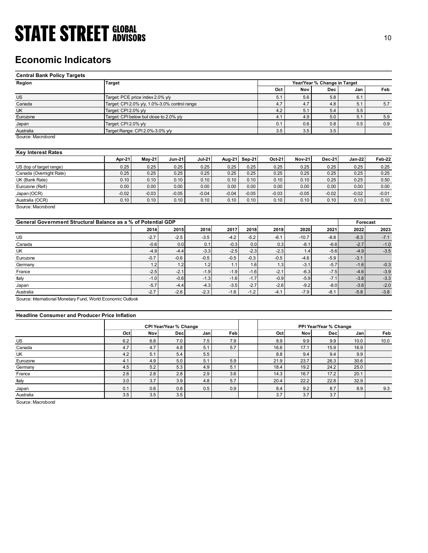## Economic Indicators

| <b>STATE STREET GLOBAL</b>                                    |                                                                       |                 |                 |                 |                 |                 |                 |                  |                              |                  |                  |
|---------------------------------------------------------------|-----------------------------------------------------------------------|-----------------|-----------------|-----------------|-----------------|-----------------|-----------------|------------------|------------------------------|------------------|------------------|
|                                                               |                                                                       |                 |                 |                 |                 |                 |                 |                  |                              |                  | 10               |
|                                                               |                                                                       |                 |                 |                 |                 |                 |                 |                  |                              |                  |                  |
|                                                               |                                                                       |                 |                 |                 |                 |                 |                 |                  |                              |                  |                  |
| <b>Economic Indicators</b>                                    |                                                                       |                 |                 |                 |                 |                 |                 |                  |                              |                  |                  |
|                                                               |                                                                       |                 |                 |                 |                 |                 |                 |                  |                              |                  |                  |
| <b>Central Bank Policy Targets</b>                            |                                                                       |                 |                 |                 |                 |                 |                 |                  |                              |                  |                  |
| Region                                                        | <b>Target</b>                                                         |                 |                 |                 |                 |                 |                 |                  | Year/Year % Change in Target |                  |                  |
|                                                               |                                                                       |                 |                 |                 |                 |                 | Oct             | Nov              | Dec                          | Jan              | Feb              |
| $\overline{US}$                                               | Target: PCE price index 2.0% y/y                                      |                 |                 |                 |                 |                 | 5.1             | 5.6              | 5.8                          | 6.1              |                  |
| Canada<br>UK                                                  | Target: CPI 2.0% y/y, 1.0%-3.0% control range<br>Target: CPI 2.0% y/y |                 |                 |                 |                 |                 | 4.7<br>4.2      | 4.7<br>5.1       | 4.8<br>5.4                   | 5.1<br>5.5       | 5.7              |
| Eurozone                                                      | Target: CPI below but close to 2.0% y/y                               |                 |                 |                 |                 |                 | 4.1             | 4.9              | 5.0                          | 5.1              | 5.9              |
| Japan                                                         | Target: CPI 2.0% y/y                                                  |                 |                 |                 |                 |                 | 0.1             | 0.6              | 0.8                          | 0.5              | 0.9              |
| Australia                                                     | Target Range: CPI 2.0%-3.0% y/y                                       |                 |                 |                 |                 |                 | 3.5             | 3.5              | 3.5                          |                  |                  |
| Source: Macrobond                                             |                                                                       |                 |                 |                 |                 |                 |                 |                  |                              |                  |                  |
|                                                               |                                                                       |                 |                 |                 |                 |                 |                 |                  |                              |                  |                  |
| <b>Key Interest Rates</b>                                     |                                                                       |                 |                 |                 |                 |                 |                 |                  |                              |                  |                  |
|                                                               | Apr-21                                                                | $May-21$        | <b>Jun-21</b>   | <b>Jul-21</b>   | Aug-21          | Sep-21          | Oct-21          | <b>Nov-21</b>    | <b>Dec-21</b>                | <b>Jan-22</b>    | Feb-22           |
| US (top of target range)                                      | 0.25                                                                  | 0.25            | 0.25            | 0.25            | 0.25            | 0.25            | 0.25            | 0.25             | 0.25                         | 0.25             | 0.25             |
| Canada (Overnight Rate)                                       | 0.25                                                                  | 0.25            | 0.25            | 0.25            | 0.25            | 0.25            | 0.25            | 0.25             | 0.25                         | 0.25             | 0.25             |
| $\overline{UK}$ (Bank Rate)                                   | 0.10                                                                  | 0.10            | 0.10            | 0.10            | 0.10            | 0.10            | 0.10            | 0.10             | 0.25                         | 0.25             | 0.50             |
| Eurozone (Refi)                                               | 0.00<br>$-0.02$                                                       | 0.00<br>$-0.03$ | 0.00<br>$-0.05$ | 0.00            | 0.00<br>$-0.04$ | 0.00<br>$-0.05$ | 0.00<br>$-0.03$ | 0.00<br>$-0.05$  | 0.00<br>$-0.02$              | 0.00<br>$-0.02$  | 0.00             |
| Japan (OCR)<br>Australia (OCR)                                | 0.10                                                                  | 0.10            | 0.10            | $-0.04$<br>0.10 | 0.10            | 0.10            | 0.10            | 0.10             | 0.10                         | 0.10             | $-0.01$<br>0.10  |
| Source: Macrobond                                             |                                                                       |                 |                 |                 |                 |                 |                 |                  |                              |                  |                  |
|                                                               |                                                                       |                 |                 |                 |                 |                 |                 |                  |                              |                  |                  |
| General Government Structural Balance as a % of Potential GDP |                                                                       |                 |                 |                 |                 |                 |                 |                  |                              | Forecast         |                  |
|                                                               |                                                                       | 2014            | 2015            | 2016            | 2017            | 2018            | 2019            | 2020             | 2021                         | 2022             | 2023             |
| US                                                            |                                                                       | $-2.7$          | $-2.5$          | $-3.5$          | $-4.2$          | $-5.2$          | $-6.1$          | $-10.7$          | $-8.8$                       | $-8.3$           | $-7.1$           |
| Canada                                                        |                                                                       | $-0.6$          | 0.0             | 0.1             | $-0.3$          | $0.0\,$         | 0.3             | $-8.1$           | $-6.6$                       | $-2.7$           | $-1.0$           |
| UK                                                            |                                                                       | $-4.9$          | $-4.4$          | $-3.3$          | $-2.5$          | $-2.3$          | $-2.3$          | 1.4              | $-5.6$                       | $-4.9$           | $-3.5$           |
|                                                               |                                                                       | $-0.7$          | $-0.6$          | $-0.5$          | $-0.5$          | $-0.3$          | $-0.5$          | $-4.6$           | $-5.9$                       | $-3.1$           |                  |
|                                                               |                                                                       |                 |                 |                 |                 |                 |                 |                  |                              |                  |                  |
| Eurozone<br>Germany                                           |                                                                       | 1.2             | 1.2             | 1.2             | 1.1             | 1.6<br>$-1.6$   | 1.3             | $-3.1$<br>$-6.3$ | $-5.7$<br>$-7.5$             | $-1.6$<br>$-4.6$ | $-0.3$<br>$-3.9$ |

### Key Interest Rates

|                          | Apr-21  | Mav-21  | <b>Jun-21</b> | <b>Jul-21</b> | Aug-21  | Sep-21  | Oct-21  | <b>Nov-21</b> | <b>Dec-21</b> | Jan-22  | Feb-22  |
|--------------------------|---------|---------|---------------|---------------|---------|---------|---------|---------------|---------------|---------|---------|
| US (top of target range) | 0.25    | 0.25    | 0.25          | 0.25          | 0.25    | 0.25    | 0.25    | 0.25          | 0.25          | 0.25    | 0.25    |
| Canada (Overnight Rate)  | 0.25    | 0.25    | 0.25          | 0.25          | 0.25    | 0.25    | 0.25    | 0.25          | 0.25          | 0.25    | 0.25    |
| UK (Bank Rate)           | 0.10    | 0.10    | 0.10          | 0.10          | 0.10    | 0.10    | 0.10    | 0.10          | 0.25          | 0.25    | 0.50    |
| Eurozone (Refi)          | 0.00    | 0.00    | 0.00          | 0.00          | 0.00    | 0.00    | 0.00    | 0.00          | 0.00          | 0.00    | 0.00    |
| Japan (OCR)              | $-0.02$ | $-0.03$ | $-0.05$       | $-0.04$       | $-0.04$ | $-0.05$ | $-0.03$ | $-0.05$       | $-0.02$       | $-0.02$ | $-0.01$ |
| Australia (OCR)          | 0.10    | 0.10    | 0.10          | 0.10          | 0.10    | 0.10    | 0.10    | 0.10          | 0.10          | 0.10    | 0.10    |
| Source: Macrobond        |         |         |               |               |         |         |         |               |               |         |         |

| <b>Economic Indicators</b>                                    |                                               |          |                        |               |         |               |         |               |                              |                  |         |
|---------------------------------------------------------------|-----------------------------------------------|----------|------------------------|---------------|---------|---------------|---------|---------------|------------------------------|------------------|---------|
| <b>Central Bank Policy Targets</b>                            |                                               |          |                        |               |         |               |         |               |                              |                  |         |
| Region                                                        | <b>Target</b>                                 |          |                        |               |         |               |         |               | Year/Year % Change in Target |                  |         |
|                                                               |                                               |          |                        |               |         |               | Oct     | Nov           | Dec                          | Jan              | Feb     |
| <b>US</b>                                                     | Target: PCE price index 2.0% y/y              |          |                        |               |         |               | 5.1     | 5.6           | 5.8                          | 6.1              |         |
| Canada                                                        | Target: CPI 2.0% y/y, 1.0%-3.0% control range |          |                        |               |         |               | 4.7     | 4.7           | 4.8                          | 5.1              | 5.7     |
| UK                                                            | Target: CPI 2.0% y/y                          |          |                        |               |         |               | 4.2     | 5.1           | 5.4                          | 5.5              |         |
| Eurozone                                                      | Target: CPI below but close to 2.0% y/y       |          |                        |               |         |               | 4.1     | 4.9           | 5.0                          | 5.1              | 5.9     |
| Japan                                                         | Target: CPI 2.0% y/y                          |          |                        |               |         |               | 0.1     | 0.6           | 0.8                          | 0.5              | 0.9     |
| Australia                                                     | Target Range: CPI 2.0%-3.0% y/y               |          |                        |               |         |               | 3.5     | 3.5           | 3.5                          |                  |         |
| Source: Macrobond                                             |                                               |          |                        |               |         |               |         |               |                              |                  |         |
| <b>Key Interest Rates</b>                                     |                                               |          |                        |               |         |               |         |               |                              |                  |         |
|                                                               | Apr-21                                        | $May-21$ | <b>Jun-21</b>          | <b>Jul-21</b> | Aug-21  | <b>Sep-21</b> | Oct-21  | <b>Nov-21</b> | <b>Dec-21</b>                | $Jan-22$         | Feb-22  |
| US (top of target range)                                      | 0.25                                          | 0.25     | 0.25                   | 0.25          | 0.25    | 0.25          | 0.25    | 0.25          | 0.25                         | 0.25             | 0.25    |
| Canada (Overnight Rate)                                       | 0.25                                          | 0.25     | 0.25                   | 0.25          | 0.25    | 0.25          | 0.25    | 0.25          | 0.25                         | 0.25             | 0.25    |
| UK (Bank Rate)                                                | 0.10                                          | 0.10     | 0.10                   | 0.10          | 0.10    | 0.10          | 0.10    | 0.10          | 0.25                         | 0.25             | 0.50    |
| Eurozone (Refi)                                               | 0.00                                          | 0.00     | 0.00                   | 0.00          | 0.00    | 0.00          | 0.00    | 0.00          | 0.00                         | 0.00             | 0.00    |
| Japan (OCR)                                                   | $-0.02$                                       | $-0.03$  | $-0.05$                | $-0.04$       | $-0.04$ | $-0.05$       | $-0.03$ | $-0.05$       | $-0.02$                      | $-0.02$          | $-0.01$ |
| Australia (OCR)<br>Source: Macrobond                          | 0.10                                          | 0.10     | 0.10                   | 0.10          | 0.10    | 0.10          | 0.10    | 0.10          | 0.10                         | 0.10             | 0.10    |
| General Government Structural Balance as a % of Potential GDP |                                               | 2014     | 2015                   | 2016          | 2017    | 2018          | 2019    | 2020          | 2021                         | Forecast<br>2022 | 2023    |
|                                                               |                                               |          |                        |               |         |               |         |               |                              |                  |         |
| US                                                            |                                               | $-2.7$   | $-2.5$                 | $-3.5$        | $-4.2$  | $-5.2$        | $-6.1$  | $-10.7$       | $-8.8$                       | $-8.3$           | $-7.1$  |
| Canada                                                        |                                               | $-0.6$   | 0.0                    | 0.1           | $-0.3$  | 0.0           | 0.3     | $-8.1$        | $-6.6$                       | $-2.7$           | $-1.0$  |
| UK                                                            |                                               | $-4.9$   | $-4.4$                 | $-3.3$        | $-2.5$  | $-2.3$        | $-2.3$  | 1.4           | $-5.6$                       | $-4.9$           | $-3.5$  |
| Eurozone                                                      |                                               | $-0.7$   | $-0.6$                 | $-0.5$        | $-0.5$  | $-0.3$        | $-0.5$  | $-4.6$        | $-5.9$                       | $-3.1$           |         |
| Germany                                                       |                                               | 1.2      | 1.2                    | 1.2           | 1.1     | 1.6           | 1.3     | $-3.1$        | $-5.7$                       | $-1.6$           | $-0.3$  |
| France                                                        |                                               | $-2.5$   | $-2.1$                 | $-1.9$        | $-1.9$  | $-1.6$        | $-2.1$  | $-6.3$        | $-7.5$                       | $-4.6$           | $-3.9$  |
| Italy                                                         |                                               | $-1.0$   | $-0.6$                 | $-1.3$        | $-1.6$  | $-1.7$        | $-0.9$  | $-5.9$        | $-7.1$                       | $-3.8$           | $-3.3$  |
| Japan                                                         |                                               | $-5.7$   | $-4.4$                 | $-4.3$        | $-3.5$  | $-2.7$        | $-2.6$  | $-9.2$        | $-8.0$                       | $-3.6$           | $-2.0$  |
| Australia                                                     |                                               | $-2.7$   | $-2.6$                 | $-2.3$        | $-1.6$  | $-1.2$        | $-4.1$  | $-7.9$        | $-8.1$                       | $-5.8$           | $-3.8$  |
| Source: International Monetary Fund, World Economic Outlook   |                                               |          |                        |               |         |               |         |               |                              |                  |         |
| <b>Headline Consumer and Producer Price Inflation</b>         |                                               |          |                        |               |         |               |         |               |                              |                  |         |
|                                                               |                                               |          | CPI Year/Year % Change |               |         |               |         |               | PPI Year/Year % Change       |                  |         |
|                                                               | Oct                                           | Nov      | Dec                    | Jan           | Feb     |               | Oct     | Nov           | Dec                          | Jan              | Feb     |
| US                                                            | 6.2                                           | 6.8      | 7.0                    | 7.5           | 7.9     |               | 8.9     | 9.9           | 9.9                          | 10.0             | 10.0    |
| Canada                                                        | 4.7                                           | 4.7      | 4.8                    | 5.1           | 5.7     |               | 16.6    | 17.1          | 15.9                         | 16.9             |         |
| UK                                                            | 4.2                                           | 5.1      | 5.4                    | 5.5           |         |               | 8.8     | 9.4           | 9.4                          | 9.9              |         |
| Eurozone                                                      | 4.1                                           | 4.9      | 5.0                    | 5.1           | 5.9     |               | 21.9    | 23.7          | 26.3                         | 30.6             |         |
| Germany                                                       | 4.5                                           | 5.2      | 5.3                    | 4.9           | 5.1     |               | 18.4    | 19.2          | 24.2                         | 25.0             |         |
| France                                                        | 2.6                                           | 2.8      | 2.8                    | 2.9           | 3.6     |               | 14.3    | 16.7          | 17.2                         | 20.1             |         |
| Italy                                                         | 3.0                                           | 3.7      | 3.9                    | 4.8           | 5.7     |               | 20.4    | 22.2          | 22.8                         | 32.9             |         |
| Japan                                                         | 0.1                                           | 0.6      | 0.8                    | 0.5           | 0.9     |               | 8.4     | 9.2           | 8.7                          | 8.9              | 9.3     |
|                                                               |                                               |          |                        |               |         |               |         |               |                              |                  |         |

### Headline Consumer and Producer Price Inflation

| UK (Bank Rate)                                                                     |            | 0.25    | 0.25                                        | 0.25       | 0.25    | 0.25    | 0.25    | 0.25    | 0.25                          | 0.25     | 0.25    |
|------------------------------------------------------------------------------------|------------|---------|---------------------------------------------|------------|---------|---------|---------|---------|-------------------------------|----------|---------|
|                                                                                    | 0.10       | 0.10    | 0.10                                        | 0.10       | 0.10    | 0.10    | 0.10    | 0.10    | 0.25                          | 0.25     | 0.50    |
| Eurozone (Refi)                                                                    | 0.00       | 0.00    | 0.00                                        | 0.00       | 0.00    | 0.00    | 0.00    | 0.00    | 0.00                          | 0.00     | 0.00    |
| Japan (OCR)                                                                        | $-0.02$    | $-0.03$ | $-0.05$                                     | $-0.04$    | $-0.04$ | $-0.05$ | $-0.03$ | $-0.05$ | $-0.02$                       | $-0.02$  | $-0.01$ |
| Australia (OCR)                                                                    | 0.10       | 0.10    | 0.10                                        | 0.10       | 0.10    | 0.10    | 0.10    | 0.10    | 0.10                          | 0.10     | 0.10    |
| Source: Macrobond<br>General Government Structural Balance as a % of Potential GDP |            |         |                                             |            |         |         |         |         |                               | Forecast |         |
|                                                                                    |            | 2014    | 2015                                        | 2016       | 2017    | 2018    | 2019    | 2020    | 2021                          | 2022     | 2023    |
| US                                                                                 |            | $-2.7$  | $-2.5$                                      | $-3.5$     | $-4.2$  | $-5.2$  | $-6.1$  | $-10.7$ | $-8.8$                        | $-8.3$   | $-7.1$  |
| Canada                                                                             |            | $-0.6$  | 0.0                                         | 0.1        | $-0.3$  | 0.0     | 0.3     | $-8.1$  | $-6.6$                        | $-2.7$   | $-1.0$  |
| UK                                                                                 |            | $-4.9$  | $-4.4$                                      | $-3.3$     | $-2.5$  | $-2.3$  | $-2.3$  | 1.4     | $-5.6$                        | $-4.9$   | $-3.5$  |
| Eurozone                                                                           |            | $-0.7$  | $-0.6$                                      | $-0.5$     | $-0.5$  | $-0.3$  | $-0.5$  | $-4.6$  | $-5.9$                        | $-3.1$   |         |
| Germany                                                                            |            | 1.2     | 1.2                                         | 1.2        | 1.1     | 1.6     | 1.3     | $-3.1$  | $-5.7$                        | $-1.6$   | $-0.3$  |
| France                                                                             |            | $-2.5$  | $-2.1$                                      | $-1.9$     | $-1.9$  | $-1.6$  | $-2.1$  | $-6.3$  | $-7.5$                        | $-4.6$   | $-3.9$  |
|                                                                                    |            | $-1.0$  | $-0.6$                                      | $-1.3$     | $-1.6$  | $-1.7$  | $-0.9$  | $-5.9$  | $-7.1$                        | $-3.8$   | $-3.3$  |
| Italy                                                                              |            |         | $-4.4$                                      | $-4.3$     | $-3.5$  | $-2.7$  | $-2.6$  | $-9.2$  | $-8.0$                        | $-3.6$   | $-2.0$  |
|                                                                                    |            | $-5.7$  |                                             |            |         |         |         |         |                               |          |         |
| Japan<br>Australia<br>Source: International Monetary Fund, World Economic Outlook  |            | $-2.7$  | $-2.6$                                      | $-2.3$     | $-1.6$  | $-1.2$  | $-4.1$  | $-7.9$  | $-8.1$                        | $-5.8$   | $-3.8$  |
| <b>Headline Consumer and Producer Price Inflation</b>                              |            |         |                                             |            |         |         |         |         |                               |          |         |
|                                                                                    | Oct        | Nov     | <b>CPI Year/Year % Change</b><br><b>Dec</b> | Jan        | Feb     |         | Oct     | Nov     | PPI Year/Year % Change<br>Dec | Jan      | Feb     |
|                                                                                    |            | 6.8     | 7.0                                         |            | 7.9     |         | 8.9     | 9.9     | 9.9                           | 10.0     | 10.0    |
|                                                                                    | 6.2<br>4.7 | 4.7     | 4.8                                         | 7.5<br>5.1 | 5.7     |         | 16.6    | 17.1    | 15.9                          | 16.9     |         |
| US<br>Canada<br>UK                                                                 | 4.2        | 5.1     | 5.4                                         | 5.5        |         |         | 8.8     | 9.4     | 9.4                           | 9.9      |         |
| Eurozone                                                                           | 4.1        | 4.9     | 5.0                                         | 5.1        | 5.9     |         | 21.9    | 23.7    | 26.3                          | 30.6     |         |
| Germany                                                                            | 4.5        | 5.2     | 5.3                                         | 4.9        | 5.1     |         | 18.4    | 19.2    | 24.2                          | 25.0     |         |
| France                                                                             | 2.6        | 2.8     | 2.8                                         | 2.9        | 3.6     |         | 14.3    | 16.7    | 17.2                          | 20.1     |         |
| Italy                                                                              | 3.0        | 3.7     | 3.9                                         | 4.8        | 5.7     |         | 20.4    | 22.2    | 22.8                          | 32.9     |         |
| Japan                                                                              | 0.1        | 0.6     | 0.8                                         | 0.5        | 0.9     |         | 8.4     | 9.2     | 8.7                           | 8.9      | 9.3     |
| Australia                                                                          | 3.5        | 3.5     | 3.5                                         |            |         |         | 3.7     | 3.7     | 3.7                           |          |         |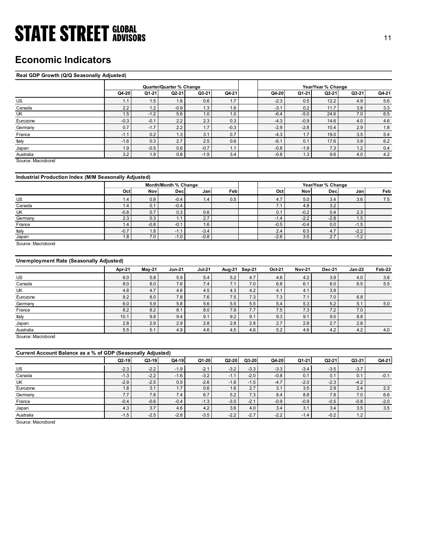## Economic Indicators

### Real GDP Growth (Q/Q Seasonally Adjusted)

| <b>STATE STREET GLOBAL</b>                            |               |               |                          |                |                          |                  |               |                           |               | 11                 |
|-------------------------------------------------------|---------------|---------------|--------------------------|----------------|--------------------------|------------------|---------------|---------------------------|---------------|--------------------|
|                                                       |               |               |                          |                |                          |                  |               |                           |               |                    |
|                                                       |               |               |                          |                |                          |                  |               |                           |               |                    |
| <b>Economic Indicators</b>                            |               |               |                          |                |                          |                  |               |                           |               |                    |
|                                                       |               |               |                          |                |                          |                  |               |                           |               |                    |
| Real GDP Growth (Q/Q Seasonally Adjusted)             |               |               |                          |                |                          |                  |               |                           |               |                    |
|                                                       |               |               |                          |                |                          |                  |               |                           |               |                    |
|                                                       |               |               | Quarter/Quarter % Change |                |                          |                  |               | Year/Year % Change        |               |                    |
|                                                       | Q4-20         | Q1-21         | $Q2-21$                  | Q3-21          | Q4-21                    | Q4-20            | Q1-21         | Q2-21                     | Q3-21         | Q4-21              |
| US                                                    | 1.1           | 1.5           | 1.6                      | 0.6            | 1.7                      | $-2.3$           | 0.5           | 12.2                      | 4.9           | 5.6                |
| Canada                                                | 2.2           | 1.2           | $-0.9$                   | 1.3            | 1.6                      | $-3.1$           | 0.2           | 11.7                      | 3.8           | 3.3                |
| UK                                                    | 1.5           | $-1.2$        | 5.6                      | 1.0            | 1.0                      | $-6.4$           | $-5.0$        | 24.6                      | 7.0           | 6.5                |
| Eurozone                                              | $-0.3$        | $-0.1$        | 2.2                      | 2.3            | 0.3                      | $-4.3$           | $-0.9$        | 14.6                      | 4.0           | 4.6                |
| Germany                                               | 0.7           | $-1.7$        | 2.2                      | 1.7            | $-0.3$                   | $-2.9$           | $-2.8$        | 10.4                      | 2.9           | $1.8\,$            |
| France                                                | $-1.1$        | 0.2           | 1.3<br>2.7               | 3.1<br>2.5     | 0.7<br>0.6               | $-4.3$<br>$-6.1$ | 1.7           | 19.0<br>17.6              | 3.5           | $5.4\,$            |
| Italy                                                 | $-1.6$<br>1.9 | 0.3<br>$-0.5$ | 0.6                      | $-0.7$         | 1.1                      | $-0.8$           | 0.1<br>$-1.8$ | 7.3                       | 3.9<br>1.2    | $6.2\,$<br>$0.4\,$ |
| Japan<br>Australia                                    | 3.2           | 1.9           | 0.8                      | $-1.9$         | 3.4                      | $-0.8$           | 1.3           | 9.6                       | 4.0           | 4.2                |
| Source: Macrobond                                     |               |               |                          |                |                          |                  |               |                           |               |                    |
|                                                       |               |               |                          |                |                          |                  |               |                           |               |                    |
| Industrial Production Index (M/M Seasonally Adjusted) |               |               |                          |                |                          |                  |               |                           |               |                    |
|                                                       |               |               | Month/Month % Change     |                |                          |                  |               |                           |               |                    |
|                                                       | Oct           | Nov           | Dec                      | Jan            | Feb                      | Oct              | <b>Nov</b>    | Year/Year % Change<br>Dec | Jan           | Feb                |
| <b>US</b>                                             | 1.4           | 0.8           | $-0.4$                   |                | 0.5                      | 4.7              | 5.0           | 3.4                       |               |                    |
| Canada                                                | 1.4           | 0.1           | $-0.4$                   | 1.4            |                          | 7.1              | 4.8           | 3.2                       | 3.6           | 7.5                |
| UK                                                    | $-0.8$        | 0.7           | 0.3                      | 0.6            |                          | 0.1              | $-0.2$        | 0.4                       | 2.3           |                    |
| Germany                                               | 2.3           | 0.3           | 1.1                      | 2.7            |                          | $-1.4$           | $-2.2$        | $-2.8$                    | 1.5           |                    |
| France                                                | 1.4           | $-0.8$        | $-0.1$                   | 1.6            |                          | $-0.5$           | $-0.4$        | 0.0                       | $-1.5$        |                    |
| Italy                                                 | $-0.7$        | 1.8           | $-1.1$                   | $-3.4$         |                          | $2.4\,$          | 6.5           | 4.7                       | $-2.2$        |                    |
|                                                       | 1.8           | 7.0           | $-1.0$                   | $-0.8$         |                          | $-2.6$           | 3.5           | 2.7                       | $-1.2$        |                    |
| Japan                                                 |               |               |                          |                |                          |                  |               |                           |               |                    |
| Source: Macrobond                                     |               |               |                          |                |                          |                  |               |                           |               |                    |
|                                                       |               |               |                          |                |                          |                  |               |                           |               |                    |
| Unemployment Rate (Seasonally Adjusted)               |               |               |                          |                |                          |                  |               |                           |               |                    |
|                                                       |               |               |                          |                |                          |                  |               |                           |               |                    |
|                                                       | Apr-21        | <b>May-21</b> | <b>Jun-21</b>            | <b>Jul-21</b>  | Aug-21 Sep-21            | Oct-21           | <b>Nov-21</b> | Dec-21                    | <b>Jan-22</b> | Feb-22             |
| US                                                    | 6.0           | $5.8\,$       | 5.9                      | $5.4$          | $5.2\,$<br>4.7           | 4.6              | $4.2\,$       | 3.9                       | 4.0           | 3.8                |
| Canada<br>UK                                          | 8.0           | 8.0<br>4.7    | 7.6                      | 7.4            | 7.0<br>7.1<br>4.3        | 6.8              | 6.1<br>4.1    | 6.0                       | 6.5           | $5.5$              |
| Eurozone                                              | 4.8<br>8.2    | 8.0           | 4.6<br>7.8               | 4.5<br>$7.6\,$ | 4.2<br>7.5<br>7.3        | 4.1<br>7.3       | 7.1           | 3.9<br>7.0                | 6.8           |                    |
| Germany                                               | 6.0           | 5.9           | $5.8\,$                  | 5.6            | 5.5<br>$5.5\,$           | $5.4\,$          | 5.3           | $5.2\,$                   | 5.1           | 5.0                |
| France<br>Italy                                       | 8.2<br>10.1   | 8.2<br>9.8    | 8.1<br>9.4               | 8.0<br>9.1     | 7.9<br>7.7<br>9.2<br>9.1 | 7.5<br>9.3       | 7.3<br>9.1    | 7.2<br>$9.0\,$            | 7.0<br>8.8    |                    |

### Industrial Production Index (M/M Seasonally Adjusted)

|         |              |        | Month/Month % Change |         |      |        |        | Year/Year % Change |        |     |
|---------|--------------|--------|----------------------|---------|------|--------|--------|--------------------|--------|-----|
|         | Oct          | Nov    | Decl                 | Janl    | Febl | Oct    | Novl   | Decl               | Janl   | Feb |
| US      | $\mathbf{A}$ | 0.8    | $-0.4$               | 1.4'    | 0.5  | 4.7    | 5.0    | 3.4                | 3.6    | 7.5 |
| Canada  | (4)          | 0.1    | $-0.4$               |         |      | 7.1    | 4.8    | 3.2                |        |     |
| UK      | $-0.8$       | 0.7    | 0.3                  | 0.6     |      | 0.1    | $-0.2$ | 0.4                | 2.3    |     |
| Germany | 2.3          | 0.3    | . .                  | 2.7     |      | $-1.4$ | $-2.2$ | $-2.8$             | 1.5    |     |
| France  | $\mathbf{A}$ | $-0.8$ | $-0.1$               | $1.6\,$ |      | $-0.5$ | $-0.4$ | 0.0                | $-1.5$ |     |
| Italy   | $-0.7$       | 1.8    | $-1.1$               | $-3.4$  |      | 2.4    | 6.5    | 4.7                | $-2.2$ |     |
| Japan   | 1.8          | 7.0    | $-1.0$               | $-0.8$  |      | $-2.6$ | 3.5    | 2.7                | $-1.2$ |     |

### Unemployment Rate (Seasonally Adjusted)

| US                                                          | 1.1    | 1.5           | 1.6                  | 0.6           | 1.7           |         | $-2.3$ | 0.5           | 12.2               | 4.9           | 5.6     |
|-------------------------------------------------------------|--------|---------------|----------------------|---------------|---------------|---------|--------|---------------|--------------------|---------------|---------|
| Canada                                                      | 2.2    | 1.2           | $-0.9$               | 1.3           | 1.6           |         | $-3.1$ | 0.2           | 11.7               | 3.8           | 3.3     |
| UK                                                          | 1.5    | $-1.2$        | 5.6                  | 1.0           | 1.0           |         | $-6.4$ | $-5.0$        | 24.6               | 7.0           | 6.5     |
| Eurozone                                                    | $-0.3$ | $-0.1$        | 2.2                  | 2.3           | 0.3           |         | $-4.3$ | $-0.9$        | 14.6               | 4.0           | $4.6\,$ |
| Germany                                                     | 0.7    | $-1.7$        | 2.2                  | 1.7           | $-0.3$        |         | $-2.9$ | $-2.8$        | 10.4               | 2.9           | 1.8     |
| France                                                      | $-1.1$ | 0.2           | 1.3                  | 3.1           | 0.7           |         | $-4.3$ | 1.7           | 19.0               | 3.5           | $5.4$   |
| Italy                                                       | $-1.6$ | 0.3           | 2.7                  | 2.5           | 0.6           |         | $-6.1$ | 0.1           | 17.6               | 3.9           | 6.2     |
| Japan                                                       | 1.9    | $-0.5$        | 0.6                  | $-0.7$        | 1.1           |         | $-0.8$ | $-1.8$        | 7.3                | 1.2           | 0.4     |
| Australia                                                   | 3.2    | 1.9           | 0.8                  | $-1.9$        | 3.4           |         | $-0.8$ | 1.3           | 9.6                | 4.0           | $4.2\,$ |
| Source: Macrobond                                           |        |               |                      |               |               |         |        |               |                    |               |         |
| Industrial Production Index (M/M Seasonally Adjusted)       |        |               |                      |               |               |         |        |               |                    |               |         |
|                                                             |        |               | Month/Month % Change |               |               |         |        |               | Year/Year % Change |               |         |
|                                                             | Oct    | Nov           | Dec                  | Jan           | Feb           |         | Oct    | Nov           | <b>Dec</b>         | Jan           | Feb     |
| US                                                          | 1.4    | 0.8           | $-0.4$               | 1.4           | 0.5           |         | 4.7    | 5.0           | 3.4                | 3.6           | 7.5     |
| Canada                                                      | 1.4    | 0.1           | $-0.4$               |               |               |         | 7.1    | 4.8           | 3.2                |               |         |
| UK                                                          | $-0.8$ | 0.7           | 0.3                  | 0.6           |               |         | 0.1    | $-0.2$        | 0.4                | 2.3           |         |
| Germany                                                     | 2.3    | 0.3           | 1.1                  | 2.7           |               |         | $-1.4$ | $-2.2$        | $-2.8$             | 1.5           |         |
| France                                                      | 1.4    | $-0.8$        | $-0.1$               | 1.6           |               |         | $-0.5$ | $-0.4$        | 0.0                | $-1.5$        |         |
| Italy                                                       | $-0.7$ | 1.8           | $-1.1$               | $-3.4$        |               |         | 2.4    | 6.5           | 4.7                | $-2.2$        |         |
| Japan                                                       | 1.8    | 7.0           | $-1.0$               | $-0.8$        |               |         | $-2.6$ | 3.5           | 2.7                | $-1.2$        |         |
| <b>Unemployment Rate (Seasonally Adjusted)</b>              | Apr-21 | <b>May-21</b> | <b>Jun-21</b>        | <b>Jul-21</b> | Aug-21 Sep-21 |         | Oct-21 | <b>Nov-21</b> | <b>Dec-21</b>      | <b>Jan-22</b> | Feb-22  |
| <b>US</b>                                                   | 6.0    | 5.8           | 5.9                  | 5.4           | 5.2           | 4.7     | 4.6    | 4.2           | 3.9                | 4.0           | 3.8     |
| Canada                                                      | 8.0    | 8.0           | 7.6                  | 7.4           | 7.1           | 7.0     | 6.8    | 6.1           | 6.0                | 6.5           | $5.5\,$ |
| UK                                                          | 4.8    | 4.7           | 4.6                  | 4.5           | 4.3           | 4.2     | 4.1    | 4.1           | 3.9                |               |         |
| Eurozone                                                    | 8.2    | 8.0           | 7.8                  | 7.6           | 7.5           | 7.3     | 7.3    | 7.1           | 7.0                | 6.8           |         |
| Germany                                                     | 6.0    | 5.9           | 5.8                  | 5.6           | 5.5           | 5.5     | 5.4    | 5.3           | 5.2                | 5.1           | 5.0     |
| France                                                      | 8.2    | 8.2           | 8.1                  | 8.0           | 7.9           | 7.7     | 7.5    | 7.3           | 7.2                | 7.0           |         |
| Italy                                                       | 10.1   | 9.8           | 9.4                  | 9.1           | 9.2           | 9.1     | 9.3    | 9.1           | 9.0                | 8.8           |         |
|                                                             | 2.8    | 2.9           | 2.9                  | 2.8           | 2.8           | 2.8     | 2.7    | 2.8           | 2.7                | 2.8           |         |
| Japan                                                       | 5.5    | 5.1           | 4.9                  | 4.6           | 4.5           | 4.6     | 5.2    | 4.6           | 4.2                | 4.2           | 4.0     |
| Australia                                                   |        |               |                      |               |               |         |        |               |                    |               |         |
| Source: Macrobond                                           |        |               |                      |               |               |         |        |               |                    |               |         |
| Current Account Balance as a % of GDP (Seasonally Adjusted) |        |               |                      |               |               |         |        |               |                    |               |         |
|                                                             | Q2-19  | Q3-19         | Q4-19                | Q1-20         | $Q2-20$       | $Q3-20$ | Q4-20  | $Q1-21$       | $Q2-21$            | Q3-21         | Q4-21   |
| US                                                          | $-2.3$ | $-2.2$        | $-1.9$               | $-2.1$        | $-3.2$        | $-3.3$  | $-3.3$ | $-3.4$        | $-3.5$             | $-3.7$        |         |
| Canada                                                      | $-1.3$ | $-2.2$        | $-1.6$               | $-3.2$        | $-1.1$        | $-2.0$  | $-0.8$ | 0.1           | 0.1                | 0.1           | $-0.1$  |
| UK                                                          | $-2.9$ | $-2.5$        | 0.5                  | $-2.6$        | $-1.6$        | $-1.5$  | $-4.7$ | $-2.0$        | $-2.3$             | $-4.2$        |         |
| Eurozone                                                    | 1.8    | 3.1           | 1.7                  | 0.6           | 1.6           | 2.7     | 3.1    | 3.5           | 2.9                | 2.4           | 2.3     |
| Germany                                                     | 7.7    | 7.8           | 7.4                  | 6.7           | 5.2           | 7.3     | 8.4    | 8.8           | 7.8                | 7.0           | 6.6     |
| France                                                      | $-0.4$ | $-0.6$        | $-0.4$               | $-1.3$        | $-3.5$        | $-2.1$  | $-0.9$ | $-0.9$        | $-0.5$             | $-0.8$        | $-2.0$  |
|                                                             | 4.3    | 3.7           | 4.6                  | 4.2           | 3.6           | $4.0\,$ | 3.4    | 3.1           | 3.4                | 3.5           | $3.5\,$ |
| Japan                                                       |        |               |                      |               |               |         |        |               |                    |               |         |

|                                                                                                                                                     | 1.4     | 0.8     | $-0.4$        | 1.4           | 0.5    |               | 4.7    |               |               | 3.6           | 7.5     |
|-----------------------------------------------------------------------------------------------------------------------------------------------------|---------|---------|---------------|---------------|--------|---------------|--------|---------------|---------------|---------------|---------|
| US                                                                                                                                                  |         |         |               |               |        |               |        | $5.0\,$       | 3.4           |               |         |
| Canada                                                                                                                                              | 1.4     | 0.1     | $-0.4$        |               |        |               | 7.1    | 4.8           | 3.2           |               |         |
| UK                                                                                                                                                  | $-0.8$  | 0.7     | 0.3           | 0.6           |        |               | 0.1    | $-0.2$        | 0.4           | 2.3           |         |
| Germany                                                                                                                                             | 2.3     | 0.3     | 1.1           | 2.7           |        |               | $-1.4$ | $-2.2$        | $-2.8$        | 1.5           |         |
| France                                                                                                                                              | 1.4     | $-0.8$  | $-0.1$        | 1.6           |        |               | $-0.5$ | $-0.4$        | $0.0\,$       | $-1.5$        |         |
| Italy                                                                                                                                               | $-0.7$  | 1.8     | $-1.1$        | $-3.4$        |        |               | 2.4    | 6.5           | 4.7           | $-2.2$        |         |
| Japan                                                                                                                                               | 1.8     | 7.0     | $-1.0$        | $-0.8$        |        |               | $-2.6$ | 3.5           | 2.7           | $-1.2$        |         |
| Source: Macrobond                                                                                                                                   |         |         |               |               |        |               |        |               |               |               |         |
|                                                                                                                                                     |         |         |               |               |        |               |        |               |               |               |         |
| <b>Unemployment Rate (Seasonally Adjusted)</b>                                                                                                      |         |         |               |               |        |               |        |               |               |               |         |
|                                                                                                                                                     | Apr-21  | May-21  | <b>Jun-21</b> | <b>Jul-21</b> | Aug-21 | <b>Sep-21</b> | Oct-21 | <b>Nov-21</b> | <b>Dec-21</b> | <b>Jan-22</b> | Feb-22  |
| US                                                                                                                                                  | 6.0     | 5.8     | 5.9           | $5.4\,$       | 5.2    | 4.7           | 4.6    | 4.2           | 3.9           | 4.0           | 3.8     |
| Canada                                                                                                                                              | 8.0     | 8.0     | 7.6           | 7.4           | 7.1    | $7.0$         | 6.8    | 6.1           | $6.0\,$       | 6.5           | 5.5     |
| UK                                                                                                                                                  | 4.8     | 4.7     | 4.6           | 4.5           | 4.3    | 4.2           | 4.1    | 4.1           | 3.9           |               |         |
| Eurozone                                                                                                                                            | 8.2     | 8.0     | 7.8           | 7.6           | 7.5    | 7.3           | 7.3    | 7.1           | 7.0           | 6.8           |         |
| Germany                                                                                                                                             | $6.0\,$ | 5.9     | 5.8           | 5.6           | 5.5    | 5.5           | 5.4    | 5.3           | 5.2           | 5.1           | $5.0\,$ |
| France                                                                                                                                              | 8.2     | 8.2     | 8.1           | 8.0           | 7.9    | 7.7           | 7.5    | 7.3           | 7.2           | 7.0           |         |
|                                                                                                                                                     |         |         |               |               |        |               |        |               |               |               |         |
|                                                                                                                                                     | 10.1    | 9.8     | 9.4           | 9.1           | 9.2    | 9.1           | 9.3    | 9.1           | 9.0           | 8.8           |         |
|                                                                                                                                                     | 2.8     | 2.9     | 2.9           | 2.8           | 2.8    | 2.8           | 2.7    | 2.8           | 2.7           | 2.8           |         |
|                                                                                                                                                     | 5.5     | 5.1     | 4.9           | 4.6           | 4.5    | 4.6           | 5.2    | 4.6           | 4.2           | 4.2           | $4.0$   |
|                                                                                                                                                     |         |         |               |               |        |               |        |               |               |               |         |
|                                                                                                                                                     |         |         |               |               |        |               |        |               |               |               |         |
|                                                                                                                                                     | $Q2-19$ | $Q3-19$ | $Q4-19$       | $Q1-20$       | Q2-20  | $Q3-20$       | Q4-20  | Q1-21         | $Q2-21$       | Q3-21         | Q4-21   |
|                                                                                                                                                     | $-2.3$  | $-2.2$  | $-1.9$        | $-2.1$        | $-3.2$ | $-3.3$        | $-3.3$ | $-3.4$        | $-3.5$        | $-3.7$        |         |
|                                                                                                                                                     | $-1.3$  | $-2.2$  | $-1.6$        | $-3.2$        | $-1.1$ | $-2.0$        | $-0.8$ | 0.1           | 0.1           | 0.1           | $-0.1$  |
|                                                                                                                                                     | $-2.9$  | $-2.5$  | 0.5           | $-2.6$        | $-1.6$ | $-1.5$        | $-4.7$ | $-2.0$        | $-2.3$        | $-4.2$        |         |
| Italy<br>Japan<br>Australia<br>Source: Macrobond<br>Current Account Balance as a % of GDP (Seasonally Adjusted)<br>$US$<br>Canada<br>UK<br>Eurozone | 1.8     | 3.1     | 1.7           | 0.6           | 1.6    | 2.7           | 3.1    | 3.5           | 2.9           | 2.4           | 2.3     |
| Germany                                                                                                                                             | 7.7     | 7.8     | 7.4           | 6.7           | 5.2    | 7.3           | 8.4    | 8.8           | 7.8           | $7.0$         | 6.6     |
| France                                                                                                                                              | $-0.4$  | $-0.6$  | $-0.4$        | $-1.3$        | $-3.5$ | $-2.1$        | $-0.9$ | $-0.9$        | $-0.5$        | $-0.8$        | $-2.0$  |
|                                                                                                                                                     | 4.3     | 3.7     | 4.6           | 4.2           | 3.6    | 4.0           | 3.4    | 3.1           | 3.4           | 3.5           | 3.5     |
| Japan<br>Australia                                                                                                                                  | $-1.5$  | $-2.5$  | $-2.8$        | $-3.5$        | $-2.2$ | $-2.7$        | $-2.2$ | $-1.4$        | $-0.2$        | 1.2           |         |